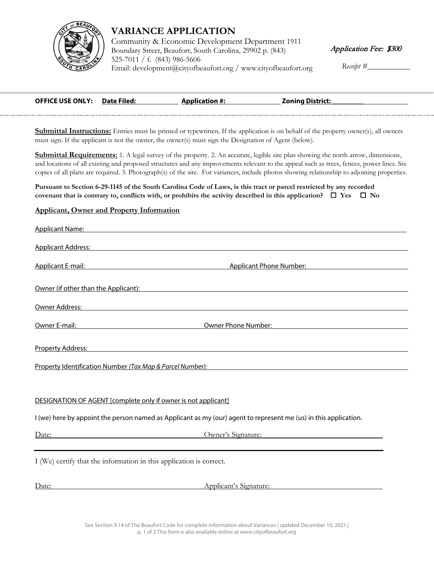

## **VARIANCE APPLICATION**

Community & Economic Development Department 1911 Boundary Street, Beaufort, South Carolina, 29902 p. (843) 525-7011 / f. (843) 986-5606 [Email: development@cit](http://www.cityofbeaufort.org/)yofbeaufort.org / www.cityofbeaufort.org

*Receipt #\_\_\_\_\_\_\_\_\_\_\_*

| <b>OFFICE USE ONLY: Date Filed:</b> | <b>Application #:</b> | <b>Zoning District:</b> |
|-------------------------------------|-----------------------|-------------------------|
|                                     |                       |                         |

**Submittal Instructions:** Entries must be printed or typewritten. If the application is on behalf of the property owner(s), all owners must sign. If the applicant is not the owner, the owner(s) must sign the Designation of Agent (below).

**Submittal Requirements:** 1. A legal survey of the property. 2. An accurate, legible site plan showing the north arrow, dimensions, and locations of all existing and proposed structures and any improvements relevant to the appeal such as trees, fences, power lines. Six copies of all plans are required. 3. Photograph(s) of the site. For variances, include photos showing relationship to adjoining properties.

**Pursuant to Section 6-29-1145 of the South Carolina Code of Laws, is this tract or parcel restricted by any recorded covenant that is contrary to, conflicts with, or prohibits the activity described in this application?**  $\Box$  **Yes**  $\Box$  **No** 

## **Applicant, Owner and Property Information**

| Applicant Name: Applicant Name: Applicant Name: Applicant Name: Applicant Name: Applicant Name: Applicant Name                                                                                                                 |                                                                                                                  |  |  |
|--------------------------------------------------------------------------------------------------------------------------------------------------------------------------------------------------------------------------------|------------------------------------------------------------------------------------------------------------------|--|--|
| Applicant Address: North American Control of Applicant Address:                                                                                                                                                                |                                                                                                                  |  |  |
|                                                                                                                                                                                                                                | Applicant E-mail: Applicant Phone Number: Applicant Phone Number:                                                |  |  |
| Owner (if other than the Applicant): Notified that the state of the state of the state of the state of the state of the state of the state of the state of the state of the state of the state of the state of the state of th |                                                                                                                  |  |  |
| Owner Address: North American Communication of the Communication of the Communication of the Communication of                                                                                                                  |                                                                                                                  |  |  |
| Owner E-mail: National Communication of the Communication of the Communication of the Communication of the Comm                                                                                                                | Owner Phone Number: New York 1988                                                                                |  |  |
| Property Address: National Property Address:                                                                                                                                                                                   |                                                                                                                  |  |  |
| Property Identification Number (Tax Map & Parcel Number):                                                                                                                                                                      |                                                                                                                  |  |  |
| DESIGNATION OF AGENT [complete only if owner is not applicant]                                                                                                                                                                 |                                                                                                                  |  |  |
|                                                                                                                                                                                                                                | I (we) here by appoint the person named as Applicant as my (our) agent to represent me (us) in this application. |  |  |
| Date: Date:                                                                                                                                                                                                                    | Owner's Signature:                                                                                               |  |  |
| I (We) certify that the information in this application is correct.                                                                                                                                                            |                                                                                                                  |  |  |

Date: Applicant's Signature: